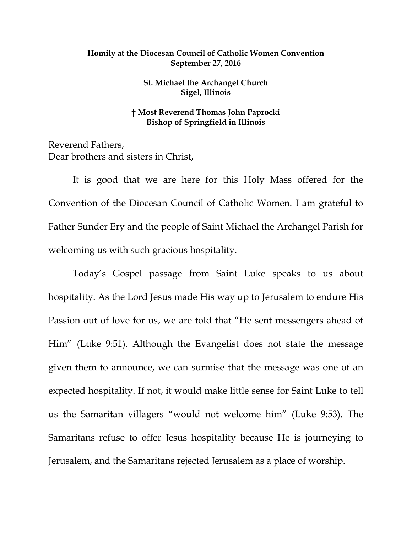## **Homily at the Diocesan Council of Catholic Women Convention September 27, 2016**

## **St. Michael the Archangel Church Sigel, Illinois**

## **† Most Reverend Thomas John Paprocki Bishop of Springfield in Illinois**

Reverend Fathers, Dear brothers and sisters in Christ,

It is good that we are here for this Holy Mass offered for the Convention of the Diocesan Council of Catholic Women. I am grateful to Father Sunder Ery and the people of Saint Michael the Archangel Parish for welcoming us with such gracious hospitality.

Today's Gospel passage from Saint Luke speaks to us about hospitality. As the Lord Jesus made His way up to Jerusalem to endure His Passion out of love for us, we are told that "He sent messengers ahead of Him" (Luke 9:51). Although the Evangelist does not state the message given them to announce, we can surmise that the message was one of an expected hospitality. If not, it would make little sense for Saint Luke to tell us the Samaritan villagers "would not welcome him" (Luke 9:53). The Samaritans refuse to offer Jesus hospitality because He is journeying to Jerusalem, and the Samaritans rejected Jerusalem as a place of worship.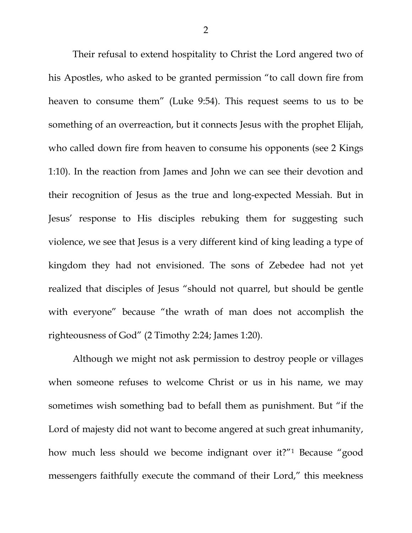Their refusal to extend hospitality to Christ the Lord angered two of his Apostles, who asked to be granted permission "to call down fire from heaven to consume them" (Luke 9:54). This request seems to us to be something of an overreaction, but it connects Jesus with the prophet Elijah, who called down fire from heaven to consume his opponents (see 2 Kings 1:10). In the reaction from James and John we can see their devotion and their recognition of Jesus as the true and long-expected Messiah. But in Jesus' response to His disciples rebuking them for suggesting such violence, we see that Jesus is a very different kind of king leading a type of kingdom they had not envisioned. The sons of Zebedee had not yet realized that disciples of Jesus "should not quarrel, but should be gentle with everyone" because "the wrath of man does not accomplish the righteousness of God" (2 Timothy 2:24; James 1:20).

Although we might not ask permission to destroy people or villages when someone refuses to welcome Christ or us in his name, we may sometimes wish something bad to befall them as punishment. But "if the Lord of majesty did not want to become angered at such great inhumanity, how much less should we become indignant over it?"[1](#page-4-0) Because "good messengers faithfully execute the command of their Lord," this meekness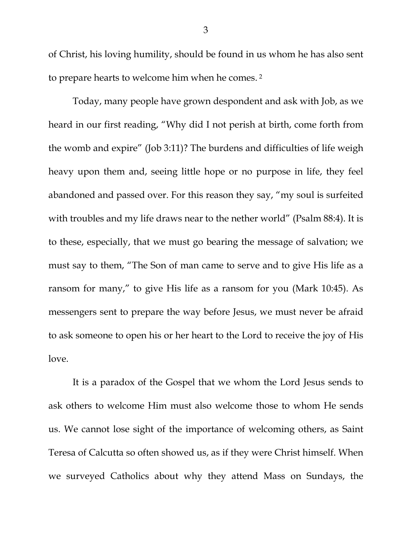of Christ, his loving humility, should be found in us whom he has also sent to prepare hearts to welcome him when he comes. [2](#page-4-1)

Today, many people have grown despondent and ask with Job, as we heard in our first reading, "Why did I not perish at birth, come forth from the womb and expire" (Job 3:11)? The burdens and difficulties of life weigh heavy upon them and, seeing little hope or no purpose in life, they feel abandoned and passed over. For this reason they say, "my soul is surfeited with troubles and my life draws near to the nether world" (Psalm 88:4). It is to these, especially, that we must go bearing the message of salvation; we must say to them, "The Son of man came to serve and to give His life as a ransom for many," to give His life as a ransom for you (Mark 10:45). As messengers sent to prepare the way before Jesus, we must never be afraid to ask someone to open his or her heart to the Lord to receive the joy of His love.

It is a paradox of the Gospel that we whom the Lord Jesus sends to ask others to welcome Him must also welcome those to whom He sends us. We cannot lose sight of the importance of welcoming others, as Saint Teresa of Calcutta so often showed us, as if they were Christ himself. When we surveyed Catholics about why they attend Mass on Sundays, the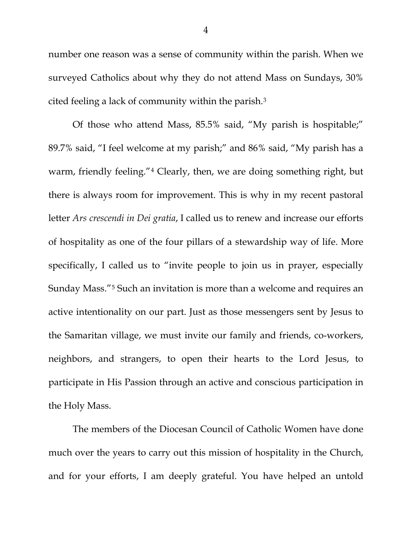number one reason was a sense of community within the parish. When we surveyed Catholics about why they do not attend Mass on Sundays, 30% cited feeling a lack of community within the parish[.3](#page-4-2)

Of those who attend Mass, 85.5% said, "My parish is hospitable;" 89.7% said, "I feel welcome at my parish;" and 86% said, "My parish has a warm, friendly feeling."<sup>[4](#page-4-3)</sup> Clearly, then, we are doing something right, but there is always room for improvement. This is why in my recent pastoral letter *Ars crescendi in Dei gratia*, I called us to renew and increase our efforts of hospitality as one of the four pillars of a stewardship way of life. More specifically, I called us to "invite people to join us in prayer, especially Sunday Mass."[5](#page-4-4) Such an invitation is more than a welcome and requires an active intentionality on our part. Just as those messengers sent by Jesus to the Samaritan village, we must invite our family and friends, co-workers, neighbors, and strangers, to open their hearts to the Lord Jesus, to participate in His Passion through an active and conscious participation in the Holy Mass.

The members of the Diocesan Council of Catholic Women have done much over the years to carry out this mission of hospitality in the Church, and for your efforts, I am deeply grateful. You have helped an untold